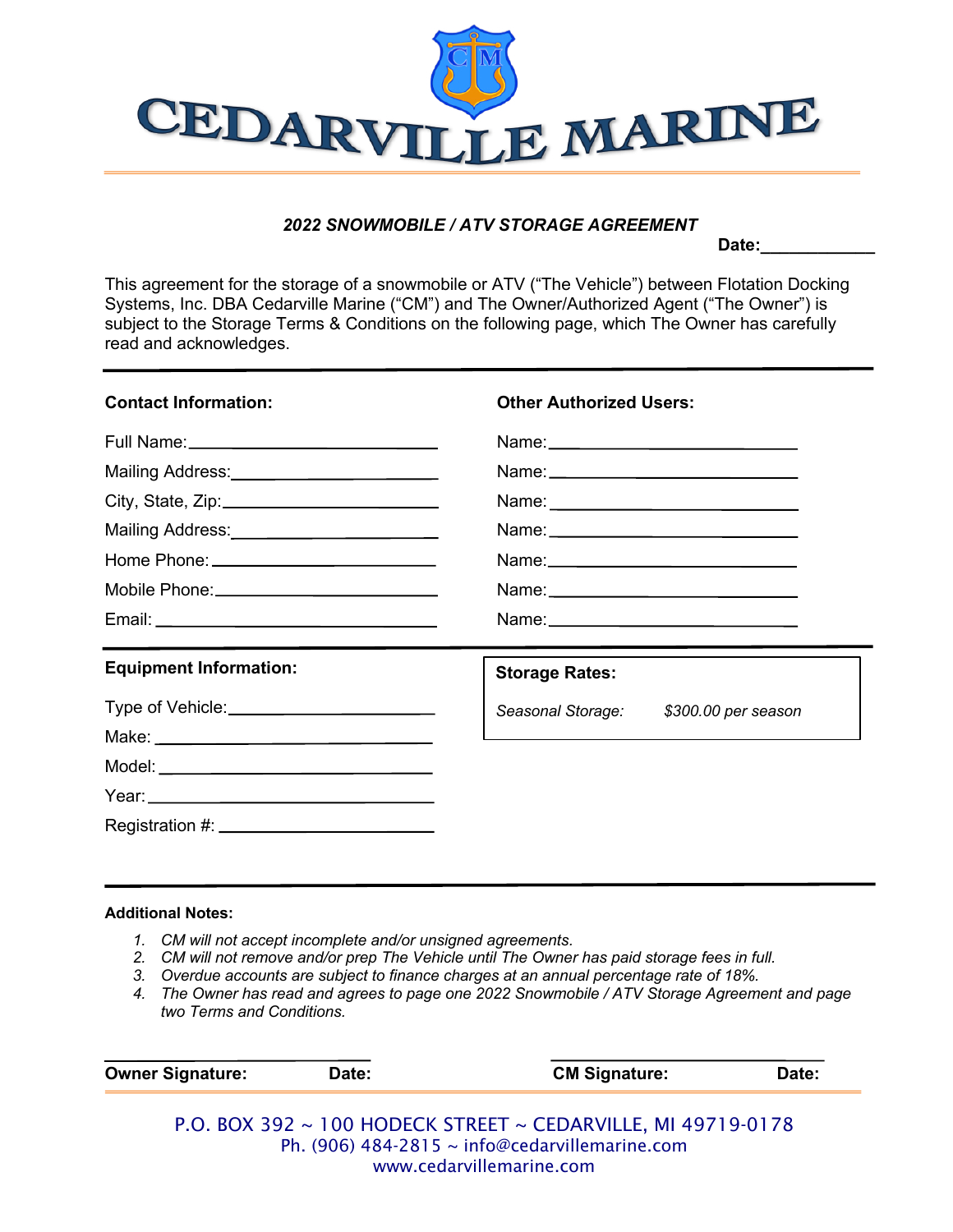

## *2022 SNOWMOBILE / ATV STORAGE AGREEMENT*

Date:

This agreement for the storage of a snowmobile or ATV ("The Vehicle") between Flotation Docking Systems, Inc. DBA Cedarville Marine ("CM") and The Owner/Authorized Agent ("The Owner") is subject to the Storage Terms & Conditions on the following page, which The Owner has carefully read and acknowledges.

| <b>Contact Information:</b>                  | <b>Other Authorized Users:</b>        |  |  |
|----------------------------------------------|---------------------------------------|--|--|
|                                              |                                       |  |  |
| Mailing Address:<br><u> </u>                 |                                       |  |  |
|                                              |                                       |  |  |
| Mailing Address: _________________________   |                                       |  |  |
|                                              |                                       |  |  |
| Mobile Phone: ______________________________ |                                       |  |  |
|                                              |                                       |  |  |
| <b>Equipment Information:</b>                | <b>Storage Rates:</b>                 |  |  |
| Type of Vehicle: ___________________________ | Seasonal Storage: \$300.00 per season |  |  |
|                                              |                                       |  |  |
|                                              |                                       |  |  |
|                                              |                                       |  |  |
|                                              |                                       |  |  |

## **Additional Notes:**

- *1. CM will not accept incomplete and/or unsigned agreements.*
- *2. CM will not remove and/or prep The Vehicle until The Owner has paid storage fees in full.*
- *3. Overdue accounts are subject to finance charges at an annual percentage rate of 18%.*
- *4. The Owner has read and agrees to page one 2022 Snowmobile / ATV Storage Agreement and page two Terms and Conditions.*

| <b>Owner Signature:</b> | Date: | <b>CM Signature:</b>                                         | Date: |
|-------------------------|-------|--------------------------------------------------------------|-------|
|                         |       | P.O. BOX 392 ~ 100 HODECK STREET ~ CEDARVILLE, MI 49719-0178 |       |

Ph. (906) 484-2815 ~ info@cedarvillemarine.com www.cedarvillemarine.com